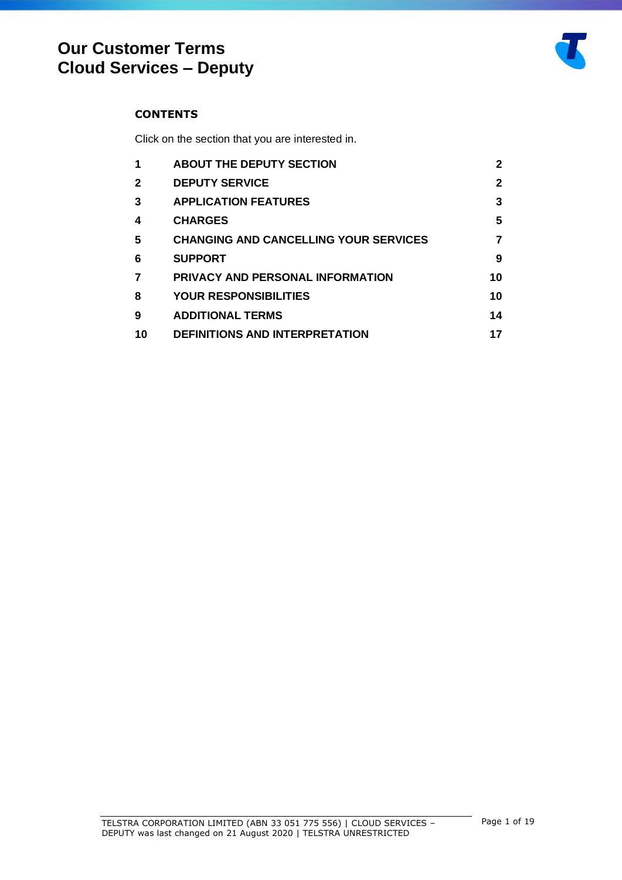## **CONTENTS**

Click on the section that you are interested in.

| 1            | <b>ABOUT THE DEPUTY SECTION</b>              | 2  |
|--------------|----------------------------------------------|----|
| $\mathbf{2}$ | <b>DEPUTY SERVICE</b>                        | 2  |
| 3            | <b>APPLICATION FEATURES</b>                  | 3  |
| 4            | <b>CHARGES</b>                               | 5  |
| 5            | <b>CHANGING AND CANCELLING YOUR SERVICES</b> |    |
| 6            | <b>SUPPORT</b>                               | 9  |
| 7            | <b>PRIVACY AND PERSONAL INFORMATION</b>      | 10 |
| 8            | <b>YOUR RESPONSIBILITIES</b>                 | 10 |
| 9            | <b>ADDITIONAL TERMS</b>                      | 14 |
| 10           | <b>DEFINITIONS AND INTERPRETATION</b>        | 17 |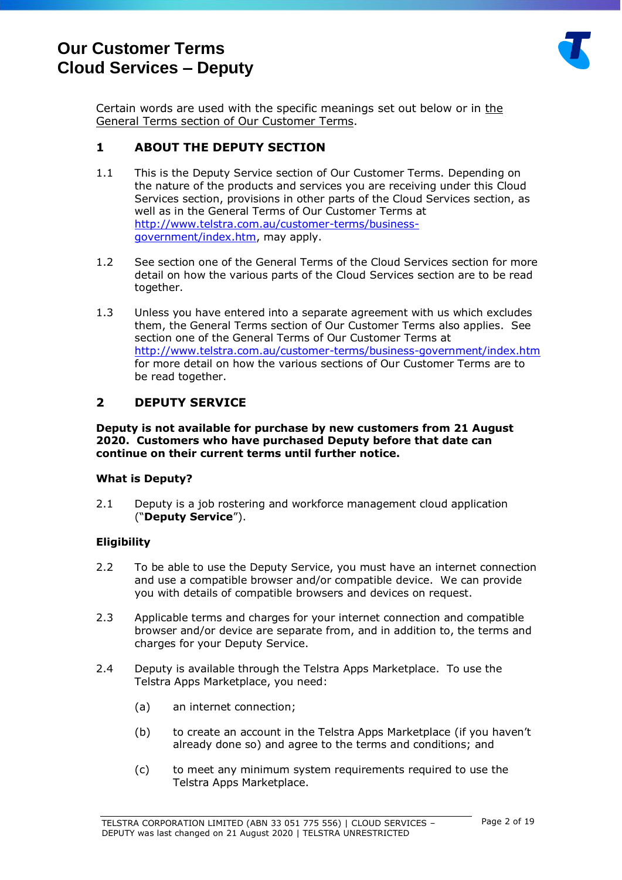

Certain words are used with [the](http://www.telstra.com.au/customerterms/bus_government.htm) specific meanings set out below or in the [General Terms section of Our Customer Terms.](http://www.telstra.com.au/customerterms/bus_government.htm)

## <span id="page-1-0"></span>**1 ABOUT THE DEPUTY SECTION**

- 1.1 This is the Deputy Service section of Our Customer Terms. Depending on the nature of the products and services you are receiving under this Cloud Services section, provisions in other parts of the Cloud Services section, as well as in the General Terms of Our Customer Terms at [http://www.telstra.com.au/customer-terms/business](http://www.telstra.com.au/customer-terms/business-government/index.htm)[government/index.htm,](http://www.telstra.com.au/customer-terms/business-government/index.htm) may apply.
- 1.2 See section one of the General Terms of the Cloud Services section for more detail on how the various parts of the Cloud Services section are to be read together.
- 1.3 Unless you have entered into a separate agreement with us which excludes them, [the General Terms section of Our Customer Terms](http://www.telstra.com.au/customerterms/bus_government.htm) also applies. See section one of the General Terms of Our Customer Terms at <http://www.telstra.com.au/customer-terms/business-government/index.htm> for more detail on how the various sections of Our Customer Terms are to be read together.

## <span id="page-1-1"></span>**2 DEPUTY SERVICE**

**Deputy is not available for purchase by new customers from 21 August 2020. Customers who have purchased Deputy before that date can continue on their current terms until further notice.** 

#### **What is Deputy?**

2.1 Deputy is a job rostering and workforce management cloud application ("**Deputy Service**").

## **Eligibility**

- 2.2 To be able to use the Deputy Service, you must have an internet connection and use a compatible browser and/or compatible device. We can provide you with details of compatible browsers and devices on request.
- 2.3 Applicable terms and charges for your internet connection and compatible browser and/or device are separate from, and in addition to, the terms and charges for your Deputy Service.
- 2.4 Deputy is available through the Telstra Apps Marketplace. To use the Telstra Apps Marketplace, you need:
	- (a) an internet connection;
	- (b) to create an account in the Telstra Apps Marketplace (if you haven't already done so) and agree to the terms and conditions; and
	- (c) to meet any minimum system requirements required to use the Telstra Apps Marketplace.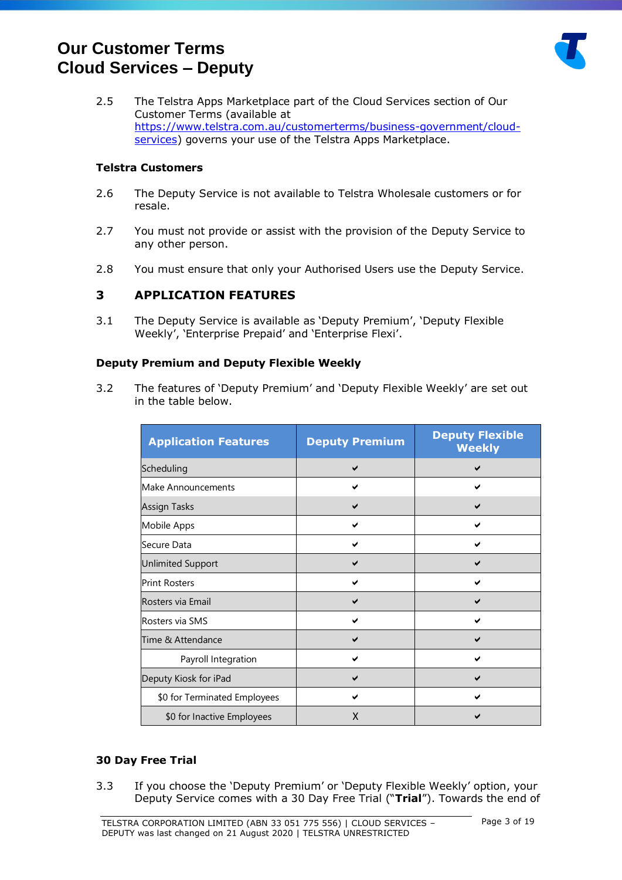

2.5 The Telstra Apps Marketplace part of the Cloud Services section of Our Customer Terms (available at [https://www.telstra.com.au/customerterms/business-government/cloud](https://www.telstra.com.au/customerterms/business-government/cloud-services)[services\)](https://www.telstra.com.au/customerterms/business-government/cloud-services) governs your use of the Telstra Apps Marketplace.

## **Telstra Customers**

- 2.6 The Deputy Service is not available to Telstra Wholesale customers or for resale.
- 2.7 You must not provide or assist with the provision of the Deputy Service to any other person.
- 2.8 You must ensure that only your Authorised Users use the Deputy Service.

## <span id="page-2-0"></span>**3 APPLICATION FEATURES**

3.1 The Deputy Service is available as 'Deputy Premium', 'Deputy Flexible Weekly', 'Enterprise Prepaid' and 'Enterprise Flexi'.

#### **Deputy Premium and Deputy Flexible Weekly**

3.2 The features of 'Deputy Premium' and 'Deputy Flexible Weekly' are set out in the table below.

| <b>Application Features</b>  | <b>Deputy Premium</b> | <b>Deputy Flexible</b><br><b>Weekly</b> |
|------------------------------|-----------------------|-----------------------------------------|
| Scheduling                   |                       |                                         |
| Make Announcements           |                       |                                         |
| <b>Assign Tasks</b>          |                       |                                         |
| Mobile Apps                  |                       |                                         |
| Secure Data                  |                       |                                         |
| <b>Unlimited Support</b>     |                       |                                         |
| <b>Print Rosters</b>         |                       |                                         |
| Rosters via Email            |                       |                                         |
| Rosters via SMS              |                       | ✔                                       |
| Time & Attendance            |                       |                                         |
| Payroll Integration          |                       |                                         |
| Deputy Kiosk for iPad        |                       |                                         |
| \$0 for Terminated Employees |                       |                                         |
| \$0 for Inactive Employees   | X                     |                                         |

## **30 Day Free Trial**

3.3 If you choose the 'Deputy Premium' or 'Deputy Flexible Weekly' option, your Deputy Service comes with a 30 Day Free Trial ("**Trial**"). Towards the end of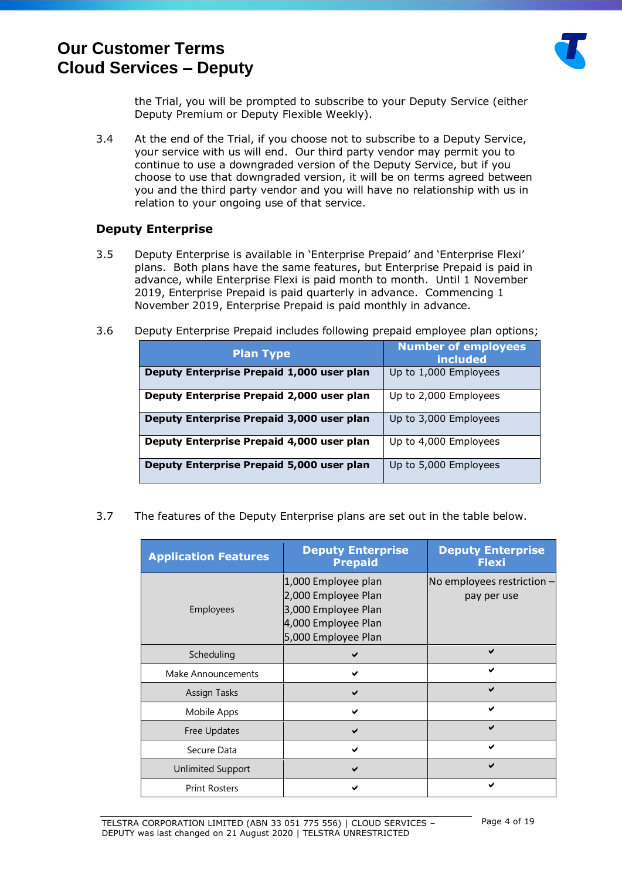

the Trial, you will be prompted to subscribe to your Deputy Service (either Deputy Premium or Deputy Flexible Weekly).

3.4 At the end of the Trial, if you choose not to subscribe to a Deputy Service, your service with us will end. Our third party vendor may permit you to continue to use a downgraded version of the Deputy Service, but if you choose to use that downgraded version, it will be on terms agreed between you and the third party vendor and you will have no relationship with us in relation to your ongoing use of that service.

## **Deputy Enterprise**

- 3.5 Deputy Enterprise is available in 'Enterprise Prepaid' and 'Enterprise Flexi' plans. Both plans have the same features, but Enterprise Prepaid is paid in advance, while Enterprise Flexi is paid month to month. Until 1 November 2019, Enterprise Prepaid is paid quarterly in advance. Commencing 1 November 2019, Enterprise Prepaid is paid monthly in advance.
- 3.6 Deputy Enterprise Prepaid includes following prepaid employee plan options;

| <b>Plan Type</b>                          | <b>Number of employees</b><br>included |
|-------------------------------------------|----------------------------------------|
| Deputy Enterprise Prepaid 1,000 user plan | Up to 1,000 Employees                  |
| Deputy Enterprise Prepaid 2,000 user plan | Up to 2,000 Employees                  |
| Deputy Enterprise Prepaid 3,000 user plan | Up to 3,000 Employees                  |
| Deputy Enterprise Prepaid 4,000 user plan | Up to 4,000 Employees                  |
| Deputy Enterprise Prepaid 5,000 user plan | Up to 5,000 Employees                  |

3.7 The features of the Deputy Enterprise plans are set out in the table below.

| <b>Application Features</b> | <b>Deputy Enterprise</b><br><b>Prepaid</b> | <b>Deputy Enterprise</b><br><b>Flexi</b> |
|-----------------------------|--------------------------------------------|------------------------------------------|
|                             | 1,000 Employee plan                        | No employees restriction $-$             |
|                             | 2,000 Employee Plan                        | pay per use                              |
| <b>Employees</b>            | 3,000 Employee Plan                        |                                          |
|                             | 4,000 Employee Plan                        |                                          |
|                             | 5,000 Employee Plan                        |                                          |
| Scheduling                  |                                            |                                          |
| Make Announcements          | м                                          |                                          |
| <b>Assign Tasks</b>         | $\checkmark$                               |                                          |
| Mobile Apps                 |                                            |                                          |
| Free Updates                |                                            | $\overline{\phantom{0}}$                 |
| Secure Data                 |                                            | ✔                                        |
| Unlimited Support           | ✔                                          |                                          |
| <b>Print Rosters</b>        |                                            |                                          |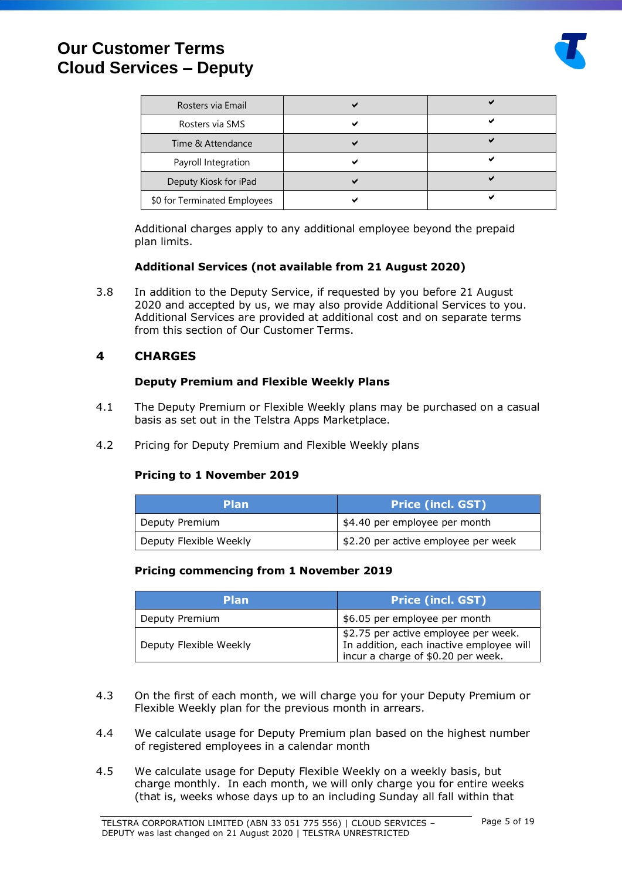

| Rosters via Email            |  |
|------------------------------|--|
| Rosters via SMS              |  |
| Time & Attendance            |  |
| Payroll Integration          |  |
| Deputy Kiosk for iPad        |  |
| \$0 for Terminated Employees |  |

Additional charges apply to any additional employee beyond the prepaid plan limits.

## **Additional Services (not available from 21 August 2020)**

3.8 In addition to the Deputy Service, if requested by you before 21 August 2020 and accepted by us, we may also provide Additional Services to you. Additional Services are provided at additional cost and on separate terms from this section of Our Customer Terms.

## <span id="page-4-0"></span>**4 CHARGES**

#### **Deputy Premium and Flexible Weekly Plans**

- 4.1 The Deputy Premium or Flexible Weekly plans may be purchased on a casual basis as set out in the Telstra Apps Marketplace.
- <span id="page-4-1"></span>4.2 Pricing for Deputy Premium and Flexible Weekly plans

## **Pricing to 1 November 2019**

| <b>Plan</b>            | <b>Price (incl. GST)</b>            |
|------------------------|-------------------------------------|
| Deputy Premium         | \$4.40 per employee per month       |
| Deputy Flexible Weekly | \$2.20 per active employee per week |

#### **Pricing commencing from 1 November 2019**

| <b>Plan</b>            | <b>Price (incl. GST)</b>                                                                                               |
|------------------------|------------------------------------------------------------------------------------------------------------------------|
| Deputy Premium         | \$6.05 per employee per month                                                                                          |
| Deputy Flexible Weekly | \$2.75 per active employee per week.<br>In addition, each inactive employee will<br>incur a charge of \$0.20 per week. |

- 4.3 On the first of each month, we will charge you for your Deputy Premium or Flexible Weekly plan for the previous month in arrears.
- 4.4 We calculate usage for Deputy Premium plan based on the highest number of registered employees in a calendar month
- 4.5 We calculate usage for Deputy Flexible Weekly on a weekly basis, but charge monthly. In each month, we will only charge you for entire weeks (that is, weeks whose days up to an including Sunday all fall within that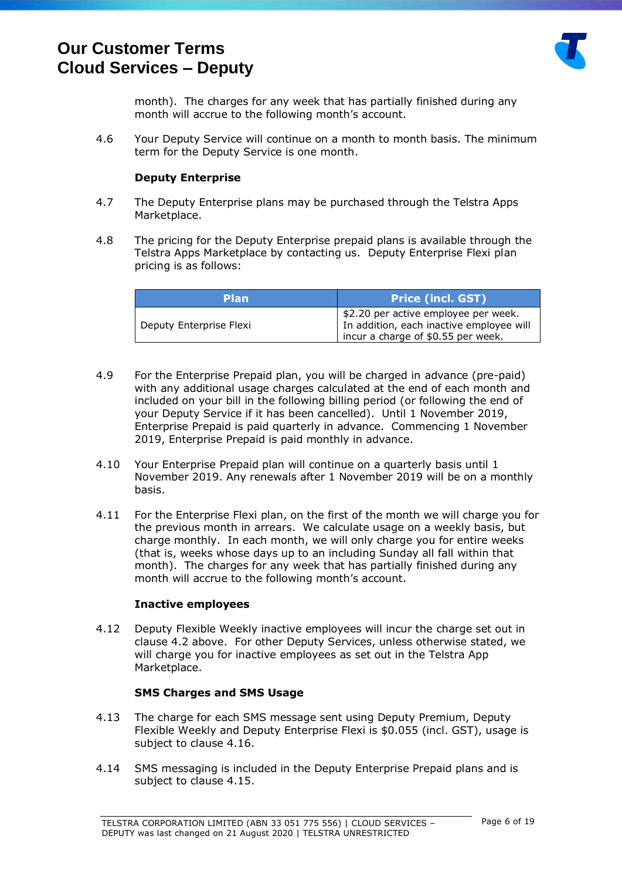

month). The charges for any week that has partially finished during any month will accrue to the following month's account.

4.6 Your Deputy Service will continue on a month to month basis. The minimum term for the Deputy Service is one month.

#### **Deputy Enterprise**

- 4.7 The Deputy Enterprise plans may be purchased through the Telstra Apps Marketplace.
- 4.8 The pricing for the Deputy Enterprise prepaid plans is available through the Telstra Apps Marketplace by contacting us. Deputy Enterprise Flexi plan pricing is as follows:

| <b>Plan</b>             | <b>Price (incl. GST)</b>                                                                                               |
|-------------------------|------------------------------------------------------------------------------------------------------------------------|
| Deputy Enterprise Flexi | \$2.20 per active employee per week.<br>In addition, each inactive employee will<br>incur a charge of \$0.55 per week. |

- 4.9 For the Enterprise Prepaid plan, you will be charged in advance (pre-paid) with any additional usage charges calculated at the end of each month and included on your bill in the following billing period (or following the end of your Deputy Service if it has been cancelled). Until 1 November 2019, Enterprise Prepaid is paid quarterly in advance. Commencing 1 November 2019, Enterprise Prepaid is paid monthly in advance.
- 4.10 Your Enterprise Prepaid plan will continue on a quarterly basis until 1 November 2019. Any renewals after 1 November 2019 will be on a monthly basis.
- 4.11 For the Enterprise Flexi plan, on the first of the month we will charge you for the previous month in arrears. We calculate usage on a weekly basis, but charge monthly. In each month, we will only charge you for entire weeks (that is, weeks whose days up to an including Sunday all fall within that month). The charges for any week that has partially finished during any month will accrue to the following month's account.

#### **Inactive employees**

4.12 Deputy Flexible Weekly inactive employees will incur the charge set out in clause [4.2](#page-4-1) above. For other Deputy Services, unless otherwise stated, we will charge you for inactive employees as set out in the Telstra App Marketplace.

#### **SMS Charges and SMS Usage**

- 4.13 The charge for each SMS message sent using Deputy Premium, Deputy Flexible Weekly and Deputy Enterprise Flexi is \$0.055 (incl. GST), usage is subject to clause [4.16.](#page-6-1)
- 4.14 SMS messaging is included in the Deputy Enterprise Prepaid plans and is subject to clause [4.15.](#page-6-2)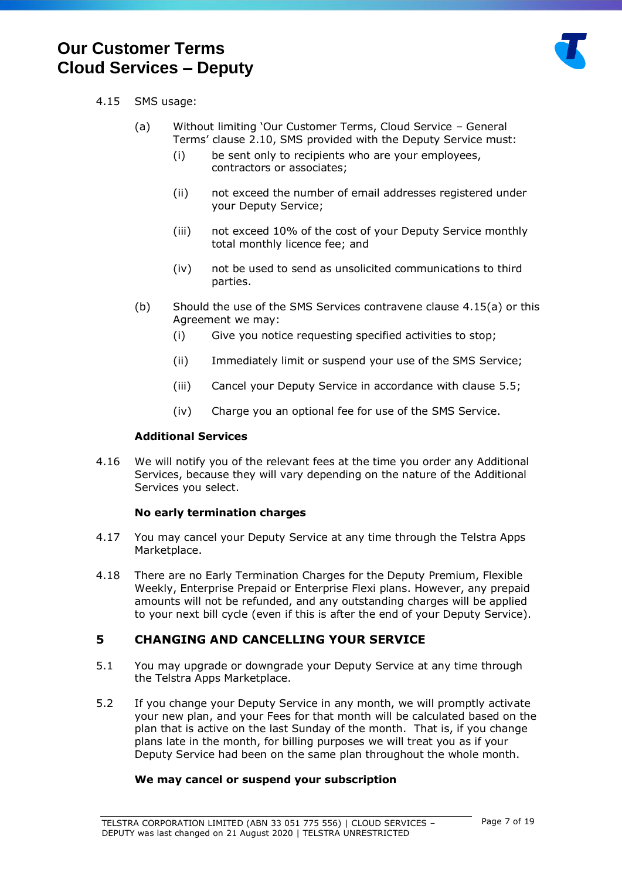

## <span id="page-6-3"></span><span id="page-6-2"></span>4.15 SMS usage:

- (a) Without limiting 'Our Customer Terms, Cloud Service General Terms' clause 2.10, SMS provided with the Deputy Service must:
	- (i) be sent only to recipients who are your employees, contractors or associates;
	- (ii) not exceed the number of email addresses registered under your Deputy Service;
	- (iii) not exceed 10% of the cost of your Deputy Service monthly total monthly licence fee; and
	- (iv) not be used to send as unsolicited communications to third parties.
- (b) Should the use of the SMS Services contravene clause [4.15\(a\)](#page-6-3) or this Agreement we may:
	- (i) Give you notice requesting specified activities to stop;
	- (ii) Immediately limit or suspend your use of the SMS Service;
	- (iii) Cancel your Deputy Service in accordance with clause [5.5;](#page-7-0)
	- (iv) Charge you an optional fee for use of the SMS Service.

#### **Additional Services**

<span id="page-6-1"></span>4.16 We will notify you of the relevant fees at the time you order any Additional Services, because they will vary depending on the nature of the Additional Services you select.

#### **No early termination charges**

- 4.17 You may cancel your Deputy Service at any time through the Telstra Apps Marketplace.
- 4.18 There are no Early Termination Charges for the Deputy Premium, Flexible Weekly, Enterprise Prepaid or Enterprise Flexi plans. However, any prepaid amounts will not be refunded, and any outstanding charges will be applied to your next bill cycle (even if this is after the end of your Deputy Service).

## <span id="page-6-0"></span>**5 CHANGING AND CANCELLING YOUR SERVICE**

- 5.1 You may upgrade or downgrade your Deputy Service at any time through the Telstra Apps Marketplace.
- 5.2 If you change your Deputy Service in any month, we will promptly activate your new plan, and your Fees for that month will be calculated based on the plan that is active on the last Sunday of the month. That is, if you change plans late in the month, for billing purposes we will treat you as if your Deputy Service had been on the same plan throughout the whole month.

## **We may cancel or suspend your subscription**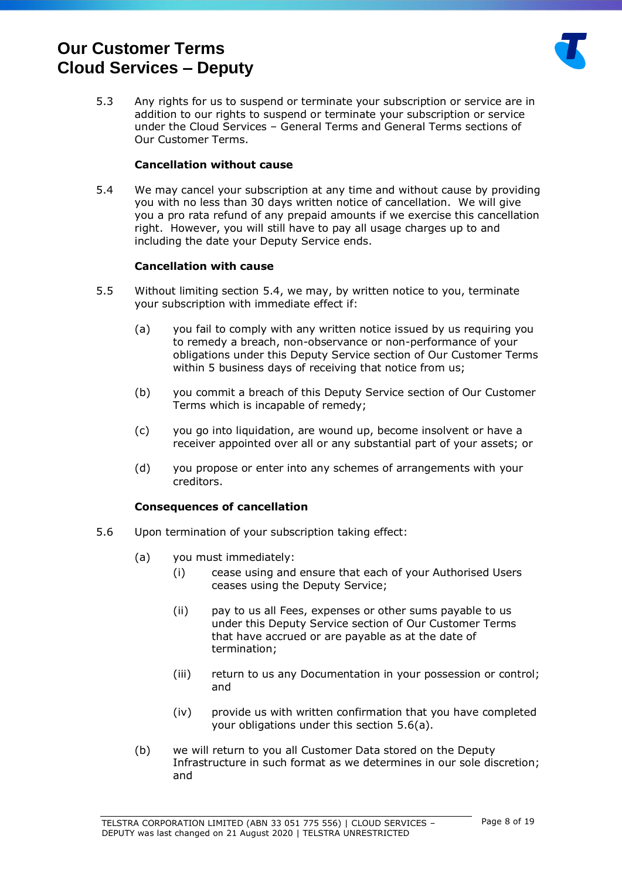

5.3 Any rights for us to suspend or terminate your subscription or service are in addition to our rights to suspend or terminate your subscription or service under the Cloud Services – General Terms and General Terms sections of Our Customer Terms.

### **Cancellation without cause**

<span id="page-7-1"></span>5.4 We may cancel your subscription at any time and without cause by providing you with no less than 30 days written notice of cancellation. We will give you a pro rata refund of any prepaid amounts if we exercise this cancellation right. However, you will still have to pay all usage charges up to and including the date your Deputy Service ends.

#### **Cancellation with cause**

- <span id="page-7-0"></span>5.5 Without limiting section [5.4,](#page-7-1) we may, by written notice to you, terminate your subscription with immediate effect if:
	- (a) you fail to comply with any written notice issued by us requiring you to remedy a breach, non-observance or non-performance of your obligations under this Deputy Service section of Our Customer Terms within 5 business days of receiving that notice from us;
	- (b) you commit a breach of this Deputy Service section of Our Customer Terms which is incapable of remedy;
	- (c) you go into liquidation, are wound up, become insolvent or have a receiver appointed over all or any substantial part of your assets; or
	- (d) you propose or enter into any schemes of arrangements with your creditors.

#### **Consequences of cancellation**

- <span id="page-7-3"></span><span id="page-7-2"></span>5.6 Upon termination of your subscription taking effect:
	- (a) you must immediately:
		- (i) cease using and ensure that each of your Authorised Users ceases using the Deputy Service;
		- (ii) pay to us all Fees, expenses or other sums payable to us under this Deputy Service section of Our Customer Terms that have accrued or are payable as at the date of termination;
		- (iii) return to us any Documentation in your possession or control; and
		- (iv) provide us with written confirmation that you have completed your obligations under this section [5.6](#page-7-2)[\(a\).](#page-7-3)
	- (b) we will return to you all Customer Data stored on the Deputy Infrastructure in such format as we determines in our sole discretion; and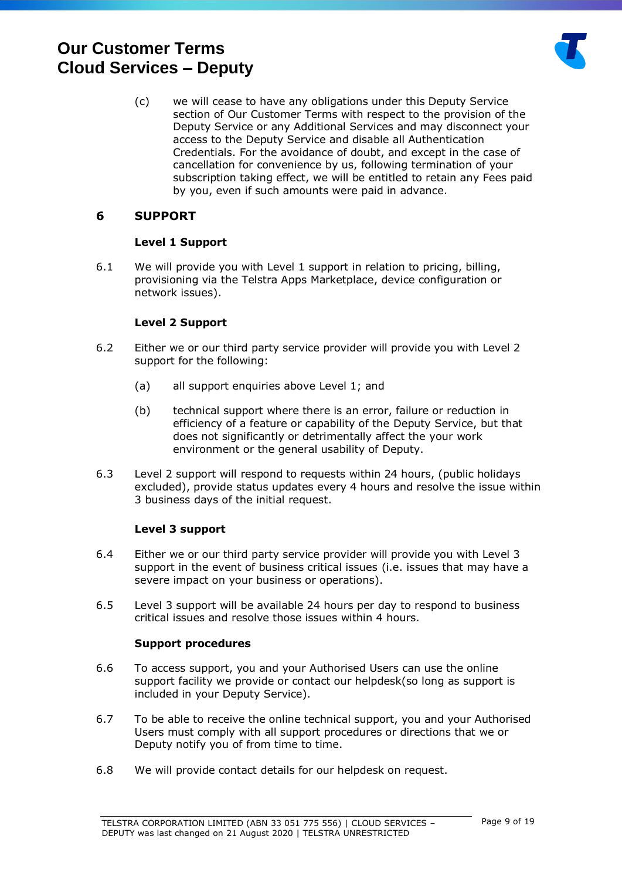

(c) we will cease to have any obligations under this Deputy Service section of Our Customer Terms with respect to the provision of the Deputy Service or any Additional Services and may disconnect your access to the Deputy Service and disable all Authentication Credentials. For the avoidance of doubt, and except in the case of cancellation for convenience by us, following termination of your subscription taking effect, we will be entitled to retain any Fees paid by you, even if such amounts were paid in advance.

## <span id="page-8-0"></span>**6 SUPPORT**

#### **Level 1 Support**

6.1 We will provide you with Level 1 support in relation to pricing, billing, provisioning via the Telstra Apps Marketplace, device configuration or network issues).

## **Level 2 Support**

- 6.2 Either we or our third party service provider will provide you with Level 2 support for the following:
	- (a) all support enquiries above Level 1; and
	- (b) technical support where there is an error, failure or reduction in efficiency of a feature or capability of the Deputy Service, but that does not significantly or detrimentally affect the your work environment or the general usability of Deputy.
- 6.3 Level 2 support will respond to requests within 24 hours, (public holidays excluded), provide status updates every 4 hours and resolve the issue within 3 business days of the initial request.

## **Level 3 support**

- 6.4 Either we or our third party service provider will provide you with Level 3 support in the event of business critical issues (i.e. issues that may have a severe impact on your business or operations).
- 6.5 Level 3 support will be available 24 hours per day to respond to business critical issues and resolve those issues within 4 hours.

#### **Support procedures**

- 6.6 To access support, you and your Authorised Users can use the online support facility we provide or contact our helpdesk(so long as support is included in your Deputy Service).
- 6.7 To be able to receive the online technical support, you and your Authorised Users must comply with all support procedures or directions that we or Deputy notify you of from time to time.
- 6.8 We will provide contact details for our helpdesk on request.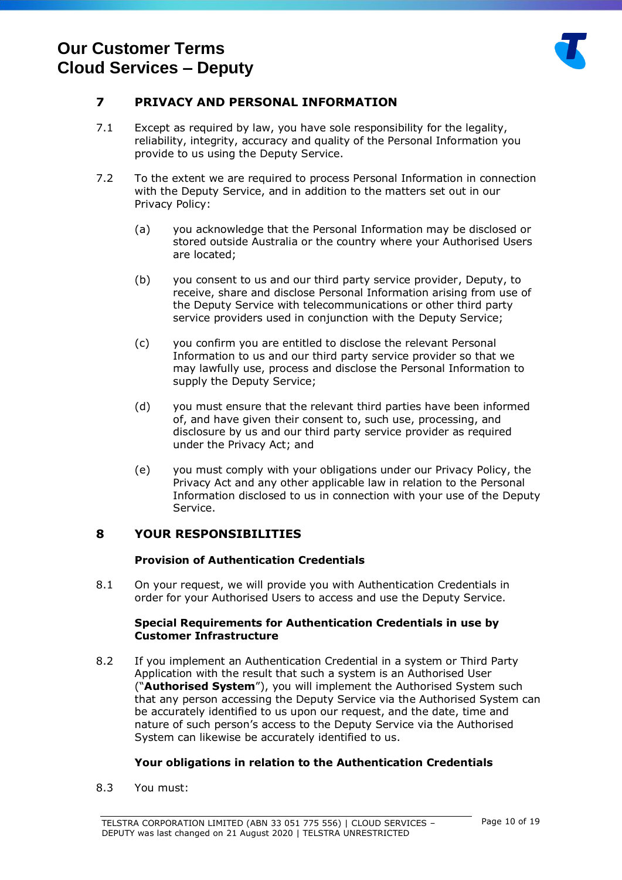

## <span id="page-9-0"></span>**7 PRIVACY AND PERSONAL INFORMATION**

- 7.1 Except as required by law, you have sole responsibility for the legality, reliability, integrity, accuracy and quality of the Personal Information you provide to us using the Deputy Service.
- 7.2 To the extent we are required to process Personal Information in connection with the Deputy Service, and in addition to the matters set out in our Privacy Policy:
	- (a) you acknowledge that the Personal Information may be disclosed or stored outside Australia or the country where your Authorised Users are located;
	- (b) you consent to us and our third party service provider, Deputy, to receive, share and disclose Personal Information arising from use of the Deputy Service with telecommunications or other third party service providers used in conjunction with the Deputy Service;
	- (c) you confirm you are entitled to disclose the relevant Personal Information to us and our third party service provider so that we may lawfully use, process and disclose the Personal Information to supply the Deputy Service;
	- (d) you must ensure that the relevant third parties have been informed of, and have given their consent to, such use, processing, and disclosure by us and our third party service provider as required under the Privacy Act; and
	- (e) you must comply with your obligations under our Privacy Policy, the Privacy Act and any other applicable law in relation to the Personal Information disclosed to us in connection with your use of the Deputy Service.

## <span id="page-9-1"></span>**8 YOUR RESPONSIBILITIES**

#### **Provision of Authentication Credentials**

8.1 On your request, we will provide you with Authentication Credentials in order for your Authorised Users to access and use the Deputy Service.

#### **Special Requirements for Authentication Credentials in use by Customer Infrastructure**

8.2 If you implement an Authentication Credential in a system or Third Party Application with the result that such a system is an Authorised User ("**Authorised System**"), you will implement the Authorised System such that any person accessing the Deputy Service via the Authorised System can be accurately identified to us upon our request, and the date, time and nature of such person's access to the Deputy Service via the Authorised System can likewise be accurately identified to us.

## **Your obligations in relation to the Authentication Credentials**

8.3 You must: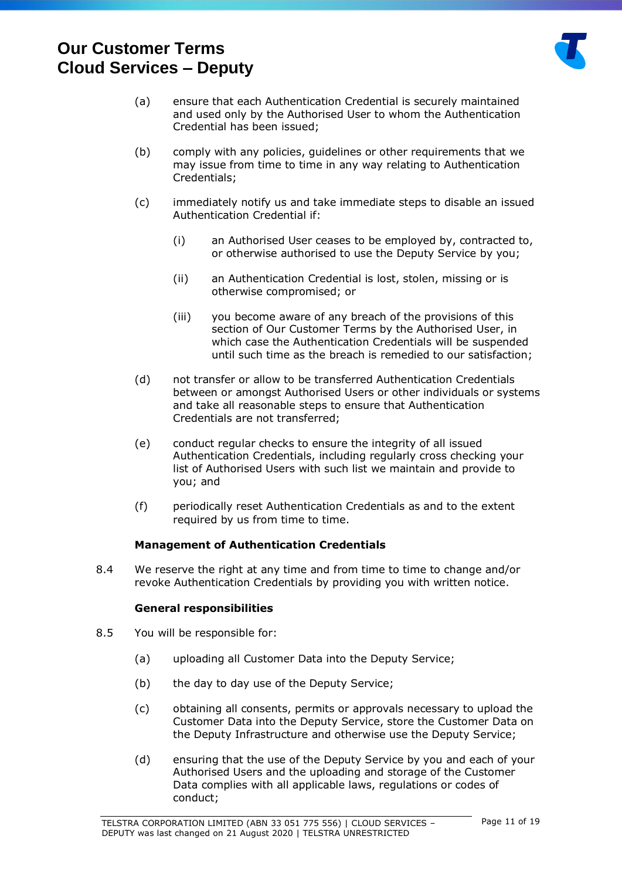

- (a) ensure that each Authentication Credential is securely maintained and used only by the Authorised User to whom the Authentication Credential has been issued;
- (b) comply with any policies, guidelines or other requirements that we may issue from time to time in any way relating to Authentication Credentials;
- (c) immediately notify us and take immediate steps to disable an issued Authentication Credential if:
	- (i) an Authorised User ceases to be employed by, contracted to, or otherwise authorised to use the Deputy Service by you;
	- (ii) an Authentication Credential is lost, stolen, missing or is otherwise compromised; or
	- (iii) you become aware of any breach of the provisions of this section of Our Customer Terms by the Authorised User, in which case the Authentication Credentials will be suspended until such time as the breach is remedied to our satisfaction;
- (d) not transfer or allow to be transferred Authentication Credentials between or amongst Authorised Users or other individuals or systems and take all reasonable steps to ensure that Authentication Credentials are not transferred;
- (e) conduct regular checks to ensure the integrity of all issued Authentication Credentials, including regularly cross checking your list of Authorised Users with such list we maintain and provide to you; and
- (f) periodically reset Authentication Credentials as and to the extent required by us from time to time.

## **Management of Authentication Credentials**

8.4 We reserve the right at any time and from time to time to change and/or revoke Authentication Credentials by providing you with written notice.

#### **General responsibilities**

- 8.5 You will be responsible for:
	- (a) uploading all Customer Data into the Deputy Service;
	- (b) the day to day use of the Deputy Service;
	- (c) obtaining all consents, permits or approvals necessary to upload the Customer Data into the Deputy Service, store the Customer Data on the Deputy Infrastructure and otherwise use the Deputy Service;
	- (d) ensuring that the use of the Deputy Service by you and each of your Authorised Users and the uploading and storage of the Customer Data complies with all applicable laws, regulations or codes of conduct;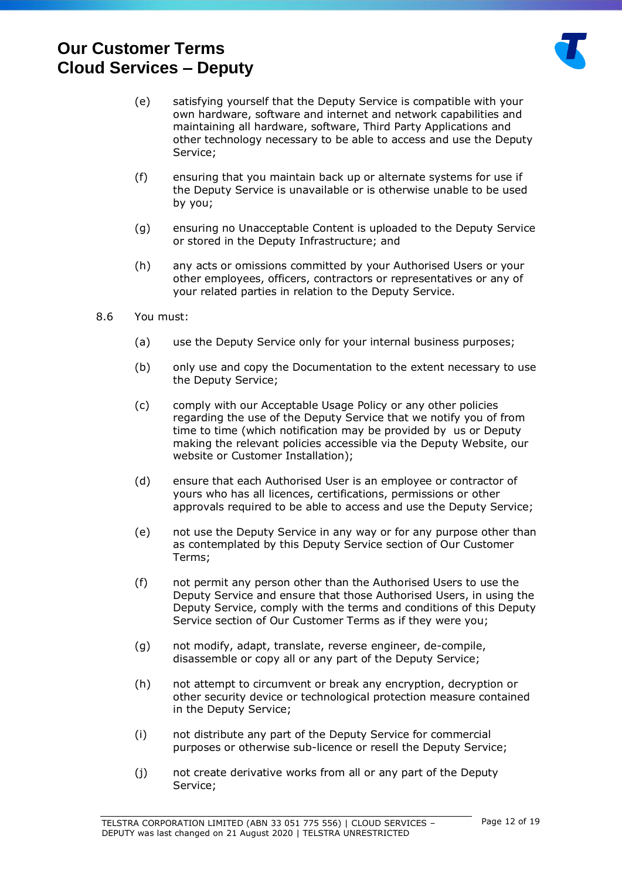

- (e) satisfying yourself that the Deputy Service is compatible with your own hardware, software and internet and network capabilities and maintaining all hardware, software, Third Party Applications and other technology necessary to be able to access and use the Deputy Service;
- (f) ensuring that you maintain back up or alternate systems for use if the Deputy Service is unavailable or is otherwise unable to be used by you;
- (g) ensuring no Unacceptable Content is uploaded to the Deputy Service or stored in the Deputy Infrastructure; and
- (h) any acts or omissions committed by your Authorised Users or your other employees, officers, contractors or representatives or any of your related parties in relation to the Deputy Service.
- 8.6 You must:
	- (a) use the Deputy Service only for your internal business purposes;
	- (b) only use and copy the Documentation to the extent necessary to use the Deputy Service;
	- (c) comply with our Acceptable Usage Policy or any other policies regarding the use of the Deputy Service that we notify you of from time to time (which notification may be provided by us or Deputy making the relevant policies accessible via the Deputy Website, our website or Customer Installation);
	- (d) ensure that each Authorised User is an employee or contractor of yours who has all licences, certifications, permissions or other approvals required to be able to access and use the Deputy Service;
	- (e) not use the Deputy Service in any way or for any purpose other than as contemplated by this Deputy Service section of Our Customer Terms;
	- (f) not permit any person other than the Authorised Users to use the Deputy Service and ensure that those Authorised Users, in using the Deputy Service, comply with the terms and conditions of this Deputy Service section of Our Customer Terms as if they were you;
	- (g) not modify, adapt, translate, reverse engineer, de-compile, disassemble or copy all or any part of the Deputy Service;
	- (h) not attempt to circumvent or break any encryption, decryption or other security device or technological protection measure contained in the Deputy Service;
	- (i) not distribute any part of the Deputy Service for commercial purposes or otherwise sub-licence or resell the Deputy Service;
	- (j) not create derivative works from all or any part of the Deputy Service;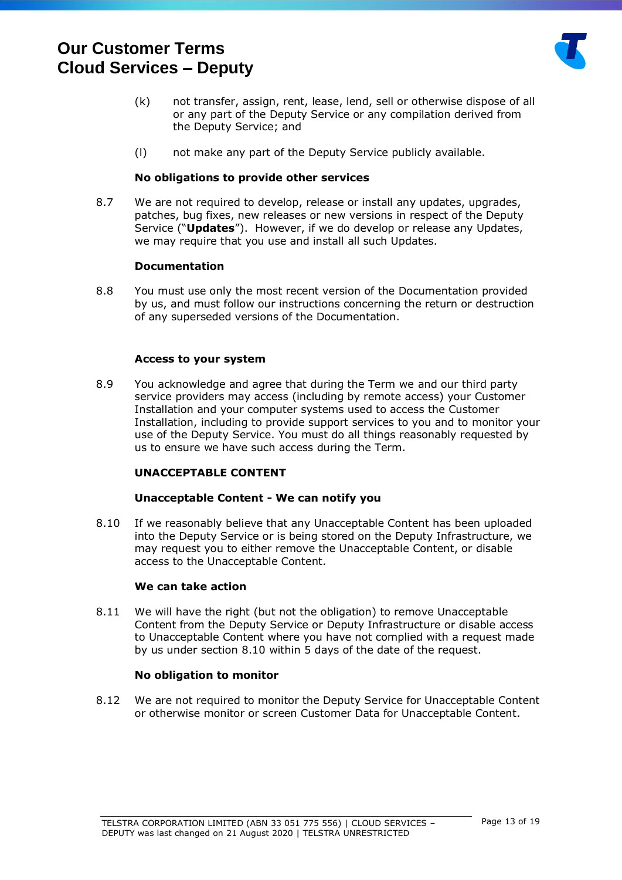

- (k) not transfer, assign, rent, lease, lend, sell or otherwise dispose of all or any part of the Deputy Service or any compilation derived from the Deputy Service; and
- (l) not make any part of the Deputy Service publicly available.

#### **No obligations to provide other services**

8.7 We are not required to develop, release or install any updates, upgrades, patches, bug fixes, new releases or new versions in respect of the Deputy Service ("**Updates**"). However, if we do develop or release any Updates, we may require that you use and install all such Updates.

#### **Documentation**

8.8 You must use only the most recent version of the Documentation provided by us, and must follow our instructions concerning the return or destruction of any superseded versions of the Documentation.

#### **Access to your system**

8.9 You acknowledge and agree that during the Term we and our third party service providers may access (including by remote access) your Customer Installation and your computer systems used to access the Customer Installation, including to provide support services to you and to monitor your use of the Deputy Service. You must do all things reasonably requested by us to ensure we have such access during the Term.

## **UNACCEPTABLE CONTENT**

#### **Unacceptable Content - We can notify you**

<span id="page-12-0"></span>8.10 If we reasonably believe that any Unacceptable Content has been uploaded into the Deputy Service or is being stored on the Deputy Infrastructure, we may request you to either remove the Unacceptable Content, or disable access to the Unacceptable Content.

#### **We can take action**

8.11 We will have the right (but not the obligation) to remove Unacceptable Content from the Deputy Service or Deputy Infrastructure or disable access to Unacceptable Content where you have not complied with a request made by us under section [8.10](#page-12-0) within 5 days of the date of the request.

#### **No obligation to monitor**

8.12 We are not required to monitor the Deputy Service for Unacceptable Content or otherwise monitor or screen Customer Data for Unacceptable Content.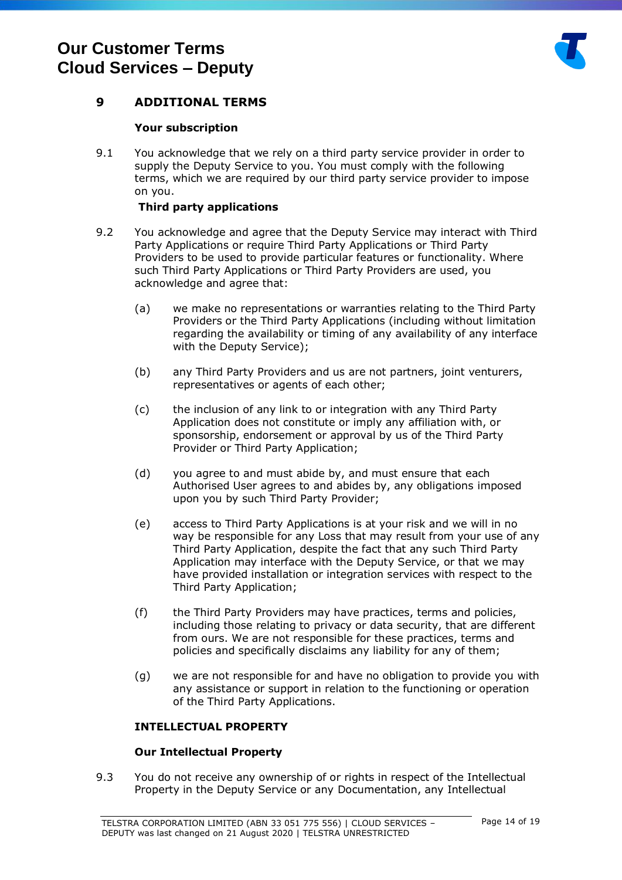

## <span id="page-13-0"></span>**9 ADDITIONAL TERMS**

### **Your subscription**

9.1 You acknowledge that we rely on a third party service provider in order to supply the Deputy Service to you. You must comply with the following terms, which we are required by our third party service provider to impose on you.

#### **Third party applications**

- 9.2 You acknowledge and agree that the Deputy Service may interact with Third Party Applications or require Third Party Applications or Third Party Providers to be used to provide particular features or functionality. Where such Third Party Applications or Third Party Providers are used, you acknowledge and agree that:
	- (a) we make no representations or warranties relating to the Third Party Providers or the Third Party Applications (including without limitation regarding the availability or timing of any availability of any interface with the Deputy Service);
	- (b) any Third Party Providers and us are not partners, joint venturers, representatives or agents of each other;
	- (c) the inclusion of any link to or integration with any Third Party Application does not constitute or imply any affiliation with, or sponsorship, endorsement or approval by us of the Third Party Provider or Third Party Application;
	- (d) you agree to and must abide by, and must ensure that each Authorised User agrees to and abides by, any obligations imposed upon you by such Third Party Provider;
	- (e) access to Third Party Applications is at your risk and we will in no way be responsible for any Loss that may result from your use of any Third Party Application, despite the fact that any such Third Party Application may interface with the Deputy Service, or that we may have provided installation or integration services with respect to the Third Party Application;
	- (f) the Third Party Providers may have practices, terms and policies, including those relating to privacy or data security, that are different from ours. We are not responsible for these practices, terms and policies and specifically disclaims any liability for any of them;
	- (g) we are not responsible for and have no obligation to provide you with any assistance or support in relation to the functioning or operation of the Third Party Applications.

## **INTELLECTUAL PROPERTY**

#### **Our Intellectual Property**

<span id="page-13-1"></span>9.3 You do not receive any ownership of or rights in respect of the Intellectual Property in the Deputy Service or any Documentation, any Intellectual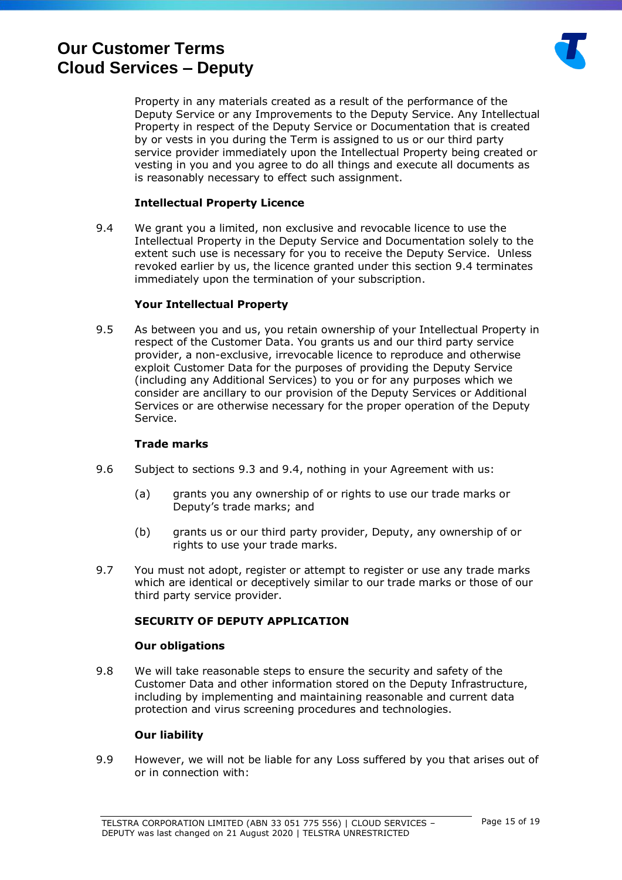

Property in any materials created as a result of the performance of the Deputy Service or any Improvements to the Deputy Service. Any Intellectual Property in respect of the Deputy Service or Documentation that is created by or vests in you during the Term is assigned to us or our third party service provider immediately upon the Intellectual Property being created or vesting in you and you agree to do all things and execute all documents as is reasonably necessary to effect such assignment.

### **Intellectual Property Licence**

<span id="page-14-0"></span>9.4 We grant you a limited, non exclusive and revocable licence to use the Intellectual Property in the Deputy Service and Documentation solely to the extent such use is necessary for you to receive the Deputy Service. Unless revoked earlier by us, the licence granted under this section [9.4](#page-14-0) terminates immediately upon the termination of your subscription.

#### **Your Intellectual Property**

9.5 As between you and us, you retain ownership of your Intellectual Property in respect of the Customer Data. You grants us and our third party service provider, a non-exclusive, irrevocable licence to reproduce and otherwise exploit Customer Data for the purposes of providing the Deputy Service (including any Additional Services) to you or for any purposes which we consider are ancillary to our provision of the Deputy Services or Additional Services or are otherwise necessary for the proper operation of the Deputy Service.

#### **Trade marks**

- 9.6 Subject to sections [9.3](#page-13-1) and [9.4,](#page-14-0) nothing in your Agreement with us:
	- (a) grants you any ownership of or rights to use our trade marks or Deputy's trade marks; and
	- (b) grants us or our third party provider, Deputy, any ownership of or rights to use your trade marks.
- 9.7 You must not adopt, register or attempt to register or use any trade marks which are identical or deceptively similar to our trade marks or those of our third party service provider.

#### **SECURITY OF DEPUTY APPLICATION**

#### **Our obligations**

9.8 We will take reasonable steps to ensure the security and safety of the Customer Data and other information stored on the Deputy Infrastructure, including by implementing and maintaining reasonable and current data protection and virus screening procedures and technologies.

#### **Our liability**

9.9 However, we will not be liable for any Loss suffered by you that arises out of or in connection with: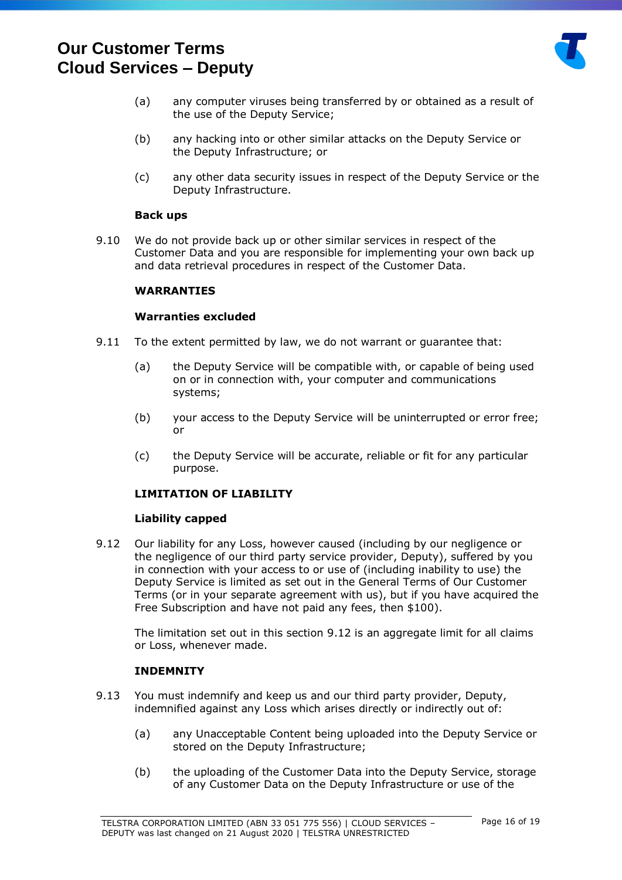

- (a) any computer viruses being transferred by or obtained as a result of the use of the Deputy Service;
- (b) any hacking into or other similar attacks on the Deputy Service or the Deputy Infrastructure; or
- (c) any other data security issues in respect of the Deputy Service or the Deputy Infrastructure.

#### **Back ups**

9.10 We do not provide back up or other similar services in respect of the Customer Data and you are responsible for implementing your own back up and data retrieval procedures in respect of the Customer Data.

### **WARRANTIES**

#### **Warranties excluded**

- 9.11 To the extent permitted by law, we do not warrant or guarantee that:
	- (a) the Deputy Service will be compatible with, or capable of being used on or in connection with, your computer and communications systems;
	- (b) your access to the Deputy Service will be uninterrupted or error free; or
	- (c) the Deputy Service will be accurate, reliable or fit for any particular purpose.

## **LIMITATION OF LIABILITY**

## **Liability capped**

<span id="page-15-0"></span>9.12 Our liability for any Loss, however caused (including by our negligence or the negligence of our third party service provider, Deputy), suffered by you in connection with your access to or use of (including inability to use) the Deputy Service is limited as set out in the General Terms of Our Customer Terms (or in your separate agreement with us), but if you have acquired the Free Subscription and have not paid any fees, then \$100).

The limitation set out in this section [9.12](#page-15-0) is an aggregate limit for all claims or Loss, whenever made.

## **INDEMNITY**

- 9.13 You must indemnify and keep us and our third party provider, Deputy, indemnified against any Loss which arises directly or indirectly out of:
	- (a) any Unacceptable Content being uploaded into the Deputy Service or stored on the Deputy Infrastructure;
	- (b) the uploading of the Customer Data into the Deputy Service, storage of any Customer Data on the Deputy Infrastructure or use of the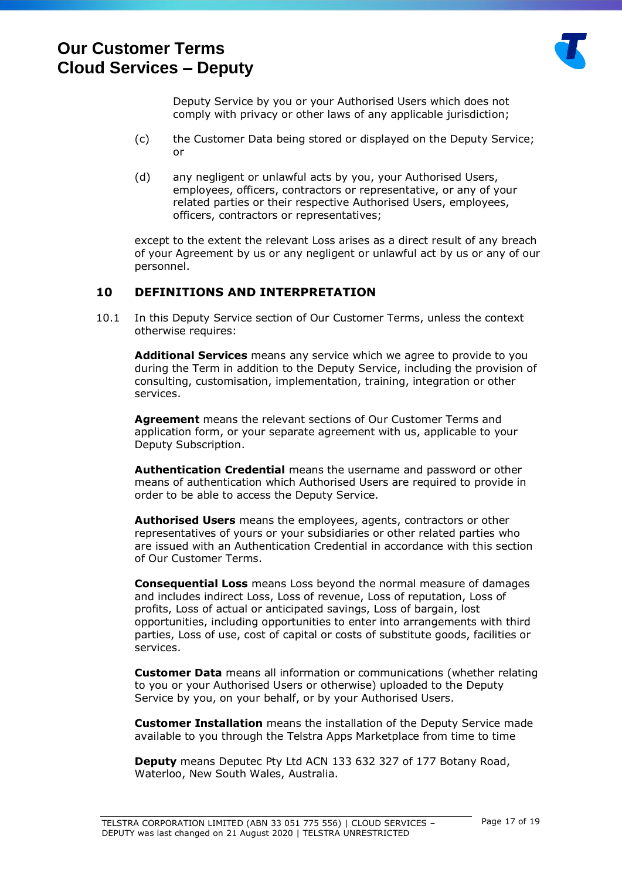

Deputy Service by you or your Authorised Users which does not comply with privacy or other laws of any applicable jurisdiction;

- (c) the Customer Data being stored or displayed on the Deputy Service; or
- (d) any negligent or unlawful acts by you, your Authorised Users, employees, officers, contractors or representative, or any of your related parties or their respective Authorised Users, employees, officers, contractors or representatives;

except to the extent the relevant Loss arises as a direct result of any breach of your Agreement by us or any negligent or unlawful act by us or any of our personnel.

## <span id="page-16-0"></span>**10 DEFINITIONS AND INTERPRETATION**

10.1 In this Deputy Service section of Our Customer Terms, unless the context otherwise requires:

**Additional Services** means any service which we agree to provide to you during the Term in addition to the Deputy Service, including the provision of consulting, customisation, implementation, training, integration or other services.

**Agreement** means the relevant sections of Our Customer Terms and application form, or your separate agreement with us, applicable to your Deputy Subscription.

**Authentication Credential** means the username and password or other means of authentication which Authorised Users are required to provide in order to be able to access the Deputy Service.

**Authorised Users** means the employees, agents, contractors or other representatives of yours or your subsidiaries or other related parties who are issued with an Authentication Credential in accordance with this section of Our Customer Terms.

**Consequential Loss** means Loss beyond the normal measure of damages and includes indirect Loss, Loss of revenue, Loss of reputation, Loss of profits, Loss of actual or anticipated savings, Loss of bargain, lost opportunities, including opportunities to enter into arrangements with third parties, Loss of use, cost of capital or costs of substitute goods, facilities or services.

**Customer Data** means all information or communications (whether relating to you or your Authorised Users or otherwise) uploaded to the Deputy Service by you, on your behalf, or by your Authorised Users.

**Customer Installation** means the installation of the Deputy Service made available to you through the Telstra Apps Marketplace from time to time

**Deputy** means Deputec Pty Ltd ACN 133 632 327 of 177 Botany Road, Waterloo, New South Wales, Australia.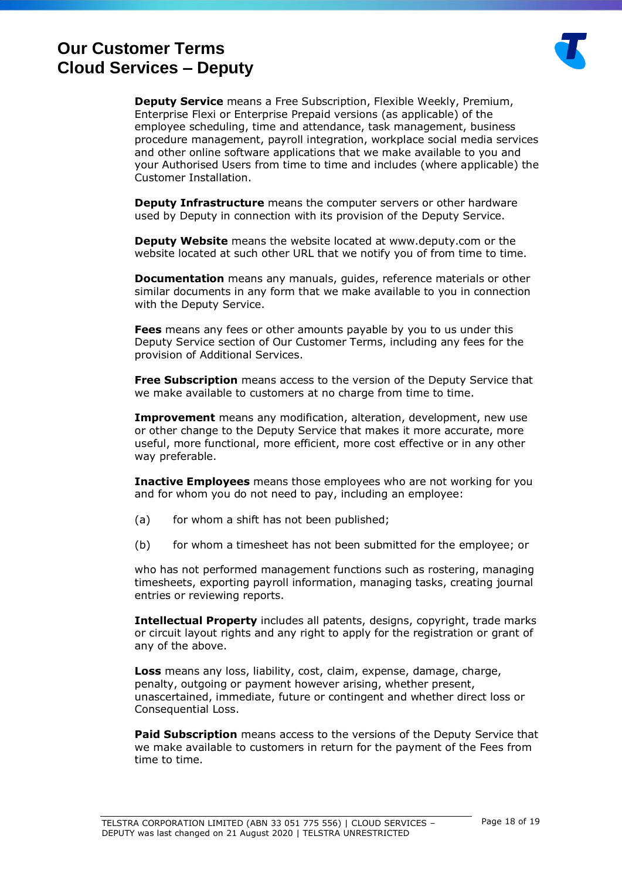

**Deputy Service** means a Free Subscription, Flexible Weekly, Premium, Enterprise Flexi or Enterprise Prepaid versions (as applicable) of the employee scheduling, time and attendance, task management, business procedure management, payroll integration, workplace social media services and other online software applications that we make available to you and your Authorised Users from time to time and includes (where applicable) the Customer Installation.

**Deputy Infrastructure** means the computer servers or other hardware used by Deputy in connection with its provision of the Deputy Service.

**Deputy Website** means the website located at [www.deputy.com](http://www.deputy.com) or the website located at such other URL that we notify you of from time to time.

**Documentation** means any manuals, guides, reference materials or other similar documents in any form that we make available to you in connection with the Deputy Service.

**Fees** means any fees or other amounts payable by you to us under this Deputy Service section of Our Customer Terms, including any fees for the provision of Additional Services.

**Free Subscription** means access to the version of the Deputy Service that we make available to customers at no charge from time to time.

**Improvement** means any modification, alteration, development, new use or other change to the Deputy Service that makes it more accurate, more useful, more functional, more efficient, more cost effective or in any other way preferable.

**Inactive Employees** means those employees who are not working for you and for whom you do not need to pay, including an employee:

- (a) for whom a shift has not been published;
- (b) for whom a timesheet has not been submitted for the employee; or

who has not performed management functions such as rostering, managing timesheets, exporting payroll information, managing tasks, creating journal entries or reviewing reports.

**Intellectual Property** includes all patents, designs, copyright, trade marks or circuit layout rights and any right to apply for the registration or grant of any of the above.

**Loss** means any loss, liability, cost, claim, expense, damage, charge, penalty, outgoing or payment however arising, whether present, unascertained, immediate, future or contingent and whether direct loss or Consequential Loss.

**Paid Subscription** means access to the versions of the Deputy Service that we make available to customers in return for the payment of the Fees from time to time.